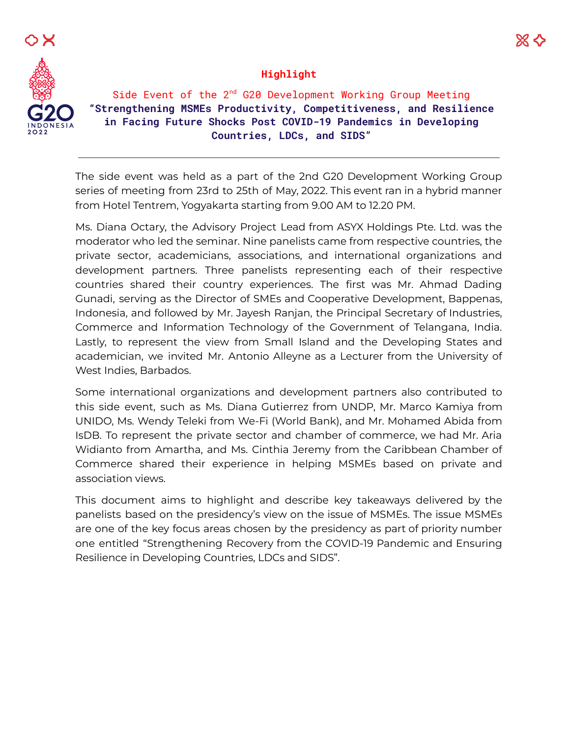

#### **Highlight**

Side Event of the 2<sup>nd</sup> G20 Development Working Group Meeting **"Strengthening MSMEs Productivity, Competitiveness, and Resilience in Facing Future Shocks Post COVID-19 Pandemics in Developing Countries, LDCs, and SIDS"**

The side event was held as a part of the 2nd G20 Development Working Group series of meeting from 23rd to 25th of May, 2022. This event ran in a hybrid manner from Hotel Tentrem, Yogyakarta starting from 9.00 AM to 12.20 PM.

Ms. Diana Octary, the Advisory Project Lead from ASYX Holdings Pte. Ltd. was the moderator who led the seminar. Nine panelists came from respective countries, the private sector, academicians, associations, and international organizations and development partners. Three panelists representing each of their respective countries shared their country experiences. The first was Mr. Ahmad Dading Gunadi, serving as the Director of SMEs and Cooperative Development, Bappenas, Indonesia, and followed by Mr. Jayesh Ranjan, the Principal Secretary of Industries, Commerce and Information Technology of the Government of Telangana, India. Lastly, to represent the view from Small Island and the Developing States and academician, we invited Mr. Antonio Alleyne as a Lecturer from the University of West Indies, Barbados.

Some international organizations and development partners also contributed to this side event, such as Ms. Diana Gutierrez from UNDP, Mr. Marco Kamiya from UNIDO, Ms. Wendy Teleki from We-Fi (World Bank), and Mr. Mohamed Abida from IsDB. To represent the private sector and chamber of commerce, we had Mr. Aria Widianto from Amartha, and Ms. Cinthia Jeremy from the Caribbean Chamber of Commerce shared their experience in helping MSMEs based on private and association views.

This document aims to highlight and describe key takeaways delivered by the panelists based on the presidency's view on the issue of MSMEs. The issue MSMEs are one of the key focus areas chosen by the presidency as part of priority number one entitled "Strengthening Recovery from the COVID-19 Pandemic and Ensuring Resilience in Developing Countries, LDCs and SIDS".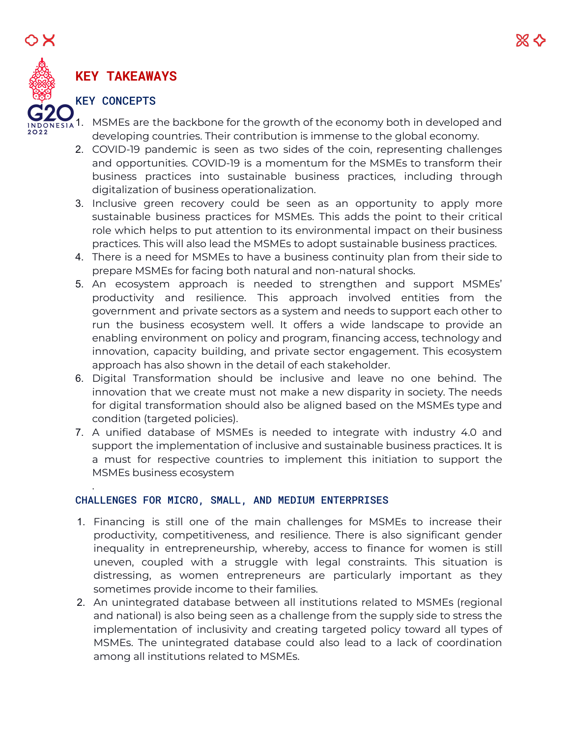# **KEY TAKEAWAYS**

# KEY CONCEPTS

.

- $_{1A}$ 1. MSMEs are the backbone for the growth of the economy both in developed and developing countries. Their contribution is immense to the global economy.
	- 2. COVID-19 pandemic is seen as two sides of the coin, representing challenges and opportunities. COVID-19 is a momentum for the MSMEs to transform their business practices into sustainable business practices, including through digitalization of business operationalization.
	- 3. Inclusive green recovery could be seen as an opportunity to apply more sustainable business practices for MSMEs. This adds the point to their critical role which helps to put attention to its environmental impact on their business practices. This will also lead the MSMEs to adopt sustainable business practices.
	- 4. There is a need for MSMEs to have a business continuity plan from their side to prepare MSMEs for facing both natural and non-natural shocks.
	- 5. An ecosystem approach is needed to strengthen and support MSMEs' productivity and resilience. This approach involved entities from the government and private sectors as a system and needs to support each other to run the business ecosystem well. It offers a wide landscape to provide an enabling environment on policy and program, financing access, technology and innovation, capacity building, and private sector engagement. This ecosystem approach has also shown in the detail of each stakeholder.
	- 6. Digital Transformation should be inclusive and leave no one behind. The innovation that we create must not make a new disparity in society. The needs for digital transformation should also be aligned based on the MSMEs type and condition (targeted policies).
	- 7. A unified database of MSMEs is needed to integrate with industry 4.0 and support the implementation of inclusive and sustainable business practices. It is a must for respective countries to implement this initiation to support the MSMEs business ecosystem

### CHALLENGES FOR MICRO, SMALL, AND MEDIUM ENTERPRISES

- 1. Financing is still one of the main challenges for MSMEs to increase their productivity, competitiveness, and resilience. There is also significant gender inequality in entrepreneurship, whereby, access to finance for women is still uneven, coupled with a struggle with legal constraints. This situation is distressing, as women entrepreneurs are particularly important as they sometimes provide income to their families.
- 2. An unintegrated database between all institutions related to MSMEs (regional and national) is also being seen as a challenge from the supply side to stress the implementation of inclusivity and creating targeted policy toward all types of MSMEs. The unintegrated database could also lead to a lack of coordination among all institutions related to MSMEs.

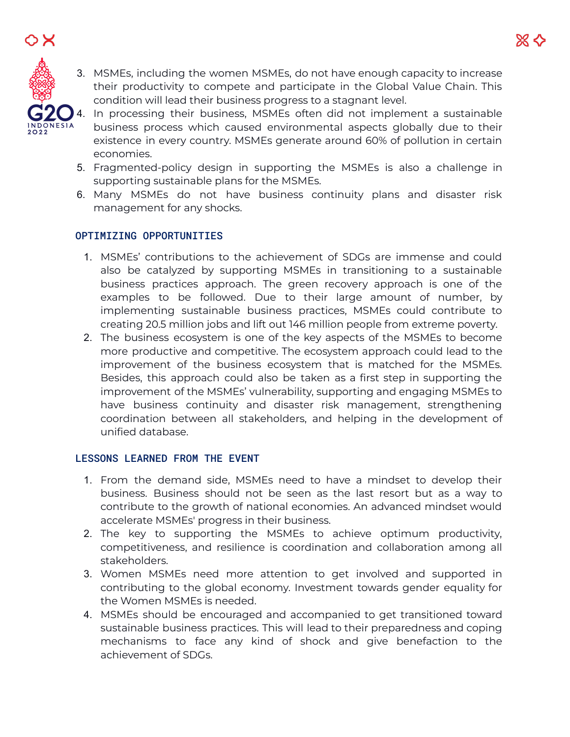O X

3. MSMEs, including the women MSMEs, do not have enough capacity to increase their productivity to compete and participate in the Global Value Chain. This condition will lead their business progress to a stagnant level.



- 4. In processing their business, MSMEs often did not implement a sustainable business process which caused environmental aspects globally due to their existence in every country. MSMEs generate around 60% of pollution in certain economies.
- 5. Fragmented-policy design in supporting the MSMEs is also a challenge in supporting sustainable plans for the MSMEs.
- 6. Many MSMEs do not have business continuity plans and disaster risk management for any shocks.

## OPTIMIZING OPPORTUNITIES

- 1. MSMEs' contributions to the achievement of SDGs are immense and could also be catalyzed by supporting MSMEs in transitioning to a sustainable business practices approach. The green recovery approach is one of the examples to be followed. Due to their large amount of number, by implementing sustainable business practices, MSMEs could contribute to creating 20.5 million jobs and lift out 146 million people from extreme poverty.
- 2. The business ecosystem is one of the key aspects of the MSMEs to become more productive and competitive. The ecosystem approach could lead to the improvement of the business ecosystem that is matched for the MSMEs. Besides, this approach could also be taken as a first step in supporting the improvement of the MSMEs' vulnerability, supporting and engaging MSMEs to have business continuity and disaster risk management, strengthening coordination between all stakeholders, and helping in the development of unified database.

### LESSONS LEARNED FROM THE EVENT

- 1. From the demand side, MSMEs need to have a mindset to develop their business. Business should not be seen as the last resort but as a way to contribute to the growth of national economies. An advanced mindset would accelerate MSMEs' progress in their business.
- 2. The key to supporting the MSMEs to achieve optimum productivity, competitiveness, and resilience is coordination and collaboration among all stakeholders.
- 3. Women MSMEs need more attention to get involved and supported in contributing to the global economy. Investment towards gender equality for the Women MSMEs is needed.
- 4. MSMEs should be encouraged and accompanied to get transitioned toward sustainable business practices. This will lead to their preparedness and coping mechanisms to face any kind of shock and give benefaction to the achievement of SDGs.